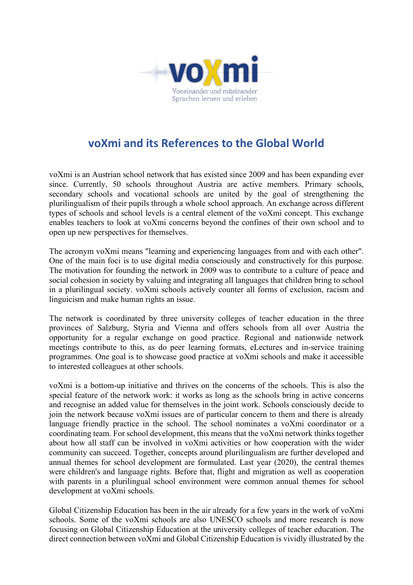

## **voXmi and its References to the Global World**

voXmi is an Austrian school network that has existed since 2009 and has been expanding ever since. Currently, 50 schools throughout Austria are active members. Primary schools, secondary schools and vocational schools are united by the goal of strengthening the plurilingualism of their pupils through a whole school approach. An exchange across different types of schools and school levels is a central element of the voXmi concept. This exchange enables teachers to look at voXmi concerns beyond the confines of their own school and to open up new perspectives for themselves.

The acronym voXmi means "learning and experiencing languages from and with each other". One of the main foci is to use digital media consciously and constructively for this purpose. The motivation for founding the network in 2009 was to contribute to a culture of peace and social cohesion in society by valuing and integrating all languages that children bring to school in a plurilingual society. voXmi schools actively counter all forms of exclusion, racism and linguicism and make human rights an issue.

The network is coordinated by three university colleges of teacher education in the three provinces of Salzburg, Styria and Vienna and offers schools from all over Austria the opportunity for a regular exchange on good practice. Regional and nationwide network meetings contribute to this, as do peer learning formats, eLectures and in-service training programmes. One goal is to showcase good practice at voXmi schools and make it accessible to interested colleagues at other schools.

voXmi is a bottom-up initiative and thrives on the concerns of the schools. This is also the special feature of the network work: it works as long as the schools bring in active concerns and recognise an added value for themselves in the joint work. Schools consciously decide to join the network because voXmi issues are of particular concern to them and there is already language friendly practice in the school. The school nominates a voXmi coordinator or a coordinating team. For school development, this means that the voXmi network thinks together about how all staff can be involved in voXmi activities or how cooperation with the wider community can succeed. Together, concepts around plurilingualism are further developed and annual themes for school development are formulated. Last year (2020), the central themes were children's and language rights. Before that, flight and migration as well as cooperation with parents in a plurilingual school environment were common annual themes for school development at voXmi schools.

Global Citizenship Education has been in the air already for a few years in the work of voXmi schools. Some of the voXmi schools are also UNESCO schools and more research is now focusing on Global Citizenship Education at the university colleges of teacher education. The direct connection between voXmi and Global Citizenship Education is vividly illustrated by the